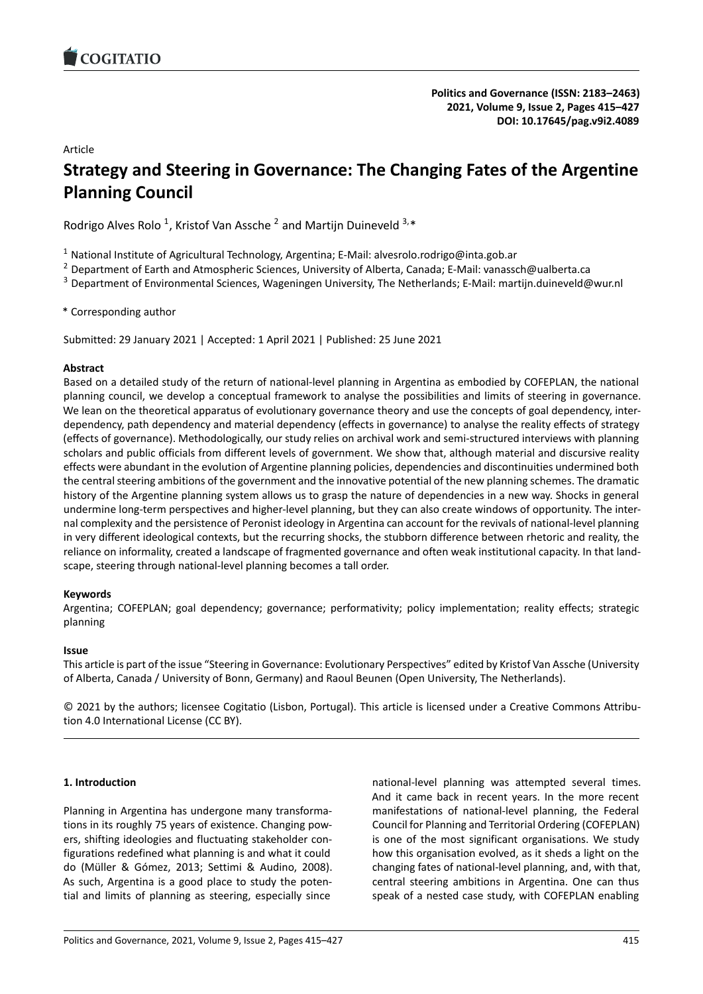# Article

# **Strategy and Steering in Governance: The Changing Fates o[f the Argentine](https://doi.org/10.17645/pag.v9i2.4089) Planning Council**

Rodrigo Alves Rolo<sup>1</sup>, Kristof Van Assche<sup>2</sup> and Martijn Duineveld  $3.*$ 

<sup>1</sup> National Institute of Agricultural Technology, Argentina; E-Mail: alvesrolo.rodrigo@inta.gob.ar

<sup>2</sup> Department of Earth and Atmospheric Sciences, University of Alberta, Canada; E‐Mail: vanassch@ualberta.ca

<sup>3</sup> Department of Environmental Sciences, Wageningen University, The Netherlands; E‐Mail: martijn.duineveld@wur.nl

\* Corresponding author

Submitted: 29 January 2021 | Accepted: 1 April 2021 | Published: 25 June 2021

### **Abstract**

Based on a detailed study of the return of national-level planning in Argentina as embodied by COFEPLAN, the national planning council, we develop a conceptual framework to analyse the possibilities and limits of steering in governance. We lean on the theoretical apparatus of evolutionary governance theory and use the concepts of goal dependency, interdependency, path dependency and material dependency (effects in governance) to analyse the reality effects of strategy (effects of governance). Methodologically, our study relies on archival work and semi‐structured interviews with planning scholars and public officials from different levels of government. We show that, although material and discursive reality effects were abundant in the evolution of Argentine planning policies, dependencies and discontinuities undermined both the central steering ambitions of the government and the innovative potential of the new planning schemes. The dramatic history of the Argentine planning system allows us to grasp the nature of dependencies in a new way. Shocks in general undermine long-term perspectives and higher-level planning, but they can also create windows of opportunity. The internal complexity and the persistence of Peronist ideology in Argentina can account for the revivals of national-level planning in very different ideological contexts, but the recurring shocks, the stubborn difference between rhetoric and reality, the reliance on informality, created a landscape of fragmented governance and often weak institutional capacity. In that land‐ scape, steering through national‐level planning becomes a tall order.

### **Keywords**

Argentina; COFEPLAN; goal dependency; governance; performativity; policy implementation; reality effects; strategic planning

### **Issue**

This article is part of the issue "Steering in Governance: Evolutionary Perspectives" edited by Kristof Van Assche (University of Alberta, Canada / University of Bonn, Germany) and Raoul Beunen (Open University, The Netherlands).

© 2021 by the authors; licensee Cogitatio (Lisbon, Portugal). This article is licensed under a Creative Commons Attribu‐ tion 4.0 International License (CC BY).

# **1. Introduction**

Planning in Argentina has undergone many transforma‐ tions in its roughly 75 years of existence. Changing pow‐ ers, shifting ideologies and fluctuating stakeholder con‐ figurations redefined what planning is and what it could do (Müller & Gómez, 2013; Settimi & Audino, 2008). As such, Argentina is a good place to study the poten‐ tial and limits of planning as steering, especially since

national‐level planning was attempted several times. And it came back in recent years. In the more recent manifestations of national‐level planning, the Federal Council for Planning and Territorial Ordering (COFEPLAN) is one of the most significant organisations. We study how this organisation evolved, as it sheds a light on the changing fates of national‐level planning, and, with that, central steering ambitions in Argentina. One can thus speak of a nested case study, with COFEPLAN enabling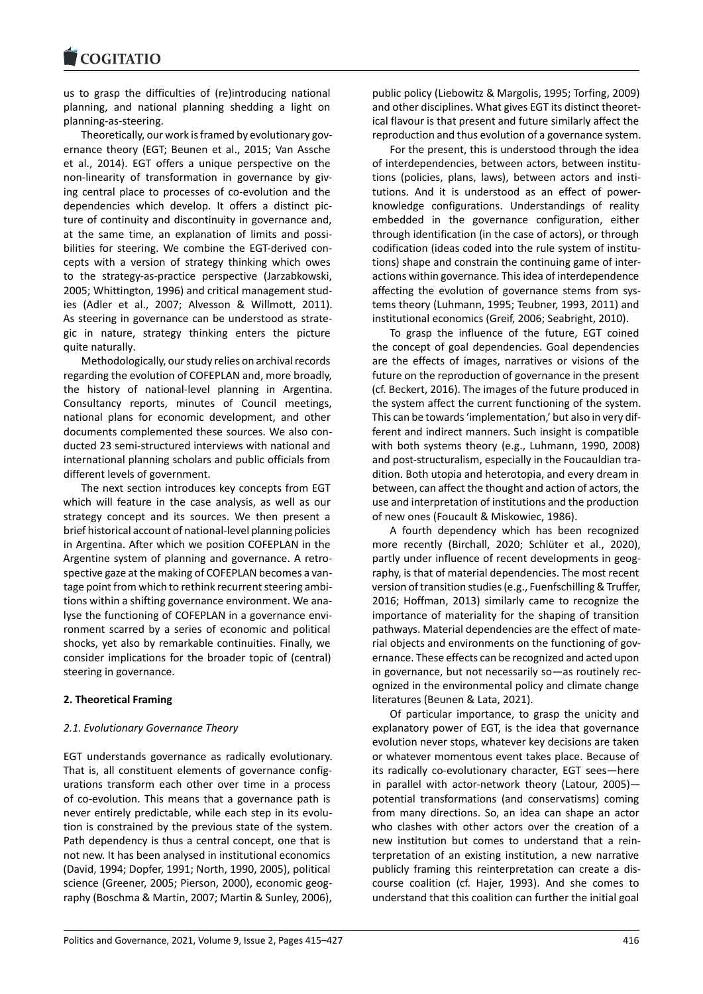us to grasp the difficulties of (re)introducing national [planning, and natio](https://www.cogitatiopress.com)nal planning shedding a light on planning‐as‐steering.

Theoretically, our work is framed by evolutionary gov‐ ernance theory (EGT; Beunen et al., 2015; Van Assche et al., 2014). EGT offers a unique perspective on the non-linearity of transformation in governance by giving central place to processes of co‐evolution and the dependencies which develop. It offers a distinct pic‐ ture of continuity and discontinuity in governance and, at the same time, an explanation of limits and possi‐ bilities for steering. We combine the EGT‐derived con‐ cepts with a version of strategy thinking which owes to the strategy‐as‐practice perspective (Jarzabkowski, 2005; Whittington, 1996) and critical management stud‐ ies (Adler et al., 2007; Alvesson & Willmott, 2011). As steering in governance can be understood as strate‐ gic in nature, strategy thinking enters the picture quite naturally.

Methodologically, our study relies on archival records regarding the evolution of COFEPLAN and, more broadly, the history of national‐level planning in Argentina. Consultancy reports, minutes of Council meetings, national plans for economic development, and other documents complemented these sources. We also con‐ ducted 23 semi‐structured interviews with national and international planning scholars and public officials from different levels of government.

The next section introduces key concepts from EGT which will feature in the case analysis, as well as our strategy concept and its sources. We then present a brief historical account of national‐level planning policies in Argentina. After which we position COFEPLAN in the Argentine system of planning and governance. A retro‐ spective gaze at the making of COFEPLAN becomes a van‐ tage point from which to rethink recurrent steering ambi‐ tions within a shifting governance environment. We ana‐ lyse the functioning of COFEPLAN in a governance envi‐ ronment scarred by a series of economic and political shocks, yet also by remarkable continuities. Finally, we consider implications for the broader topic of (central) steering in governance.

### **2. Theoretical Framing**

#### *2.1. Evolutionary Governance Theory*

EGT understands governance as radically evolutionary. That is, all constituent elements of governance config‐ urations transform each other over time in a process of co-evolution. This means that a governance path is never entirely predictable, while each step in its evolu‐ tion is constrained by the previous state of the system. Path dependency is thus a central concept, one that is not new. It has been analysed in institutional economics (David, 1994; Dopfer, 1991; North, 1990, 2005), political science (Greener, 2005; Pierson, 2000), economic geography (Boschma & Martin, 2007; Martin & Sunley, 2006),

public policy (Liebowitz & Margolis, 1995; Torfing, 2009) and other disciplines. What gives EGT its distinct theoret‐ ical flavour is that present and future similarly affect the reproduction and thus evolution of a governance system.

For the present, this is understood through the idea of interdependencies, between actors, between institu‐ tions (policies, plans, laws), between actors and insti‐ tutions. And it is understood as an effect of power‐ knowledge configurations. Understandings of reality embedded in the governance configuration, either through identification (in the case of actors), or through codification (ideas coded into the rule system of institu‐ tions) shape and constrain the continuing game of inter‐ actions within governance. This idea of interdependence affecting the evolution of governance stems from systems theory (Luhmann, 1995; Teubner, 1993, 2011) and institutional economics (Greif, 2006; Seabright, 2010).

To grasp the influence of the future, EGT coined the concept of goal dependencies. Goal dependencies are the effects of images, narratives or visions of the future on the reproduction of governance in the present (cf. Beckert, 2016). The images of the future produced in the system affect the current functioning of the system. This can be towards 'implementation,' but also in very dif‐ ferent and indirect manners. Such insight is compatible with both systems theory (e.g., Luhmann, 1990, 2008) and post-structuralism, especially in the Foucauldian tradition. Both utopia and heterotopia, and every dream in between, can affect the thought and action of actors, the use and interpretation of institutions and the production of new ones (Foucault & Miskowiec, 1986).

A fourth dependency which has been recognized more recently (Birchall, 2020; Schlüter et al., 2020), partly under influence of recent developments in geography, is that of material dependencies. The most recent version of transition studies (e.g., Fuenfschilling & Truffer, 2016; Hoffman, 2013) similarly came to recognize the importance of materiality for the shaping of transition pathways. Material dependencies are the effect of mate‐ rial objects and environments on the functioning of governance. These effects can be recognized and acted upon in governance, but not necessarily so—as routinely rec‐ ognized in the environmental policy and climate change literatures (Beunen & Lata, 2021).

Of particular importance, to grasp the unicity and explanatory power of EGT, is the idea that governance evolution never stops, whatever key decisions are taken or whatever momentous event takes place. Because of its radically co-evolutionary character, EGT sees-here in parallel with actor-network theory (Latour, 2005)potential transformations (and conservatisms) coming from many directions. So, an idea can shape an actor who clashes with other actors over the creation of a new institution but comes to understand that a rein‐ terpretation of an existing institution, a new narrative publicly framing this reinterpretation can create a dis‐ course coalition (cf. Hajer, 1993). And she comes to understand that this coalition can further the initial goal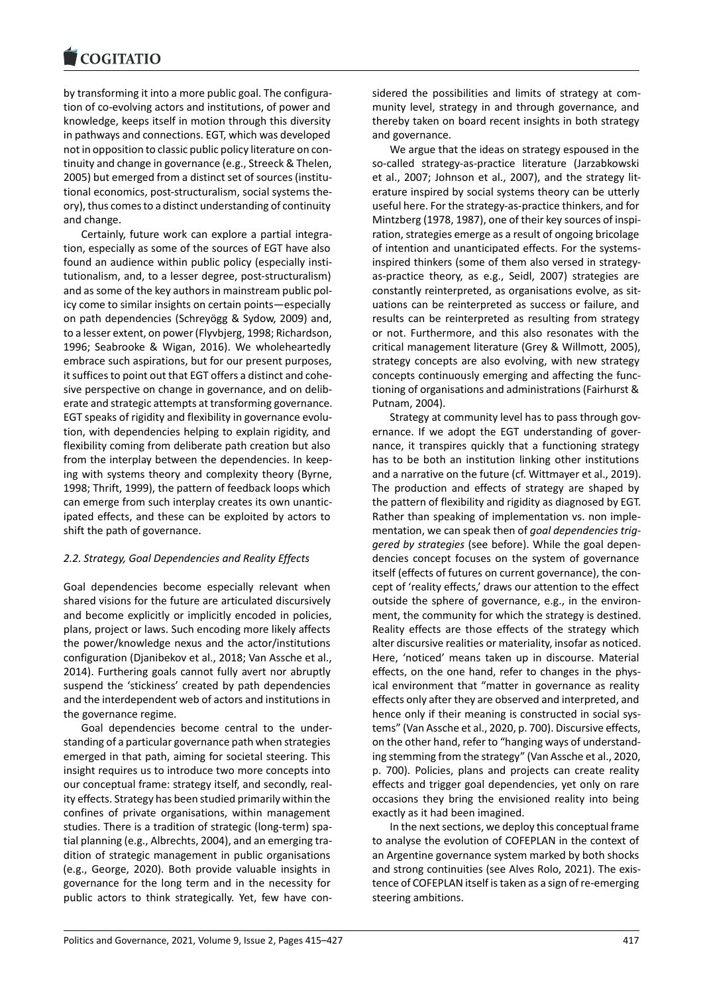by transforming it into a more public goal. The configura‐ [tion of co‐evolving ac](https://www.cogitatiopress.com)tors and institutions, of power and knowledge, keeps itself in motion through this diversity in pathways and connections. EGT, which was developed not in opposition to classic public policy literature on con‐ tinuity and change in governance (e.g., Streeck & Thelen, 2005) but emerged from a distinct set of sources (institu‐ tional economics, post‐structuralism, social systems the‐ ory), thus comes to a distinct understanding of continuity and change.

Certainly, future work can explore a partial integra‐ tion, especially as some of the sources of EGT have also found an audience within public policy (especially insti‐ tutionalism, and, to a lesser degree, post‐structuralism) and as some of the key authors in mainstream public pol‐ icy come to similar insights on certain points—especially on path dependencies (Schreyögg & Sydow, 2009) and, to a lesser extent, on power (Flyvbjerg, 1998; Richardson, 1996; Seabrooke & Wigan, 2016). We wholeheartedly embrace such aspirations, but for our present purposes, it suffices to point out that EGT offers a distinct and cohe‐ sive perspective on change in governance, and on deliberate and strategic attempts at transforming governance. EGT speaks of rigidity and flexibility in governance evolu‐ tion, with dependencies helping to explain rigidity, and flexibility coming from deliberate path creation but also from the interplay between the dependencies. In keep‐ ing with systems theory and complexity theory (Byrne, 1998; Thrift, 1999), the pattern of feedback loops which can emerge from such interplay creates its own unantic‐ ipated effects, and these can be exploited by actors to shift the path of governance.

# *2.2. Strategy, Goal Dependencies and Reality Effects*

Goal dependencies become especially relevant when shared visions for the future are articulated discursively and become explicitly or implicitly encoded in policies, plans, project or laws. Such encoding more likely affects the power/knowledge nexus and the actor/institutions configuration (Djanibekov et al., 2018; Van Assche et al., 2014). Furthering goals cannot fully avert nor abruptly suspend the 'stickiness' created by path dependencies and the interdependent web of actors and institutions in the governance regime.

Goal dependencies become central to the under‐ standing of a particular governance path when strategies emerged in that path, aiming for societal steering. This insight requires us to introduce two more concepts into our conceptual frame: strategy itself, and secondly, real‐ ity effects. Strategy has been studied primarily within the confines of private organisations, within management studies. There is a tradition of strategic (long‐term) spa‐ tial planning (e.g., Albrechts, 2004), and an emerging tra‐ dition of strategic management in public organisations (e.g., George, 2020). Both provide valuable insights in governance for the long term and in the necessity for public actors to think strategically. Yet, few have considered the possibilities and limits of strategy at community level, strategy in and through governance, and thereby taken on board recent insights in both strategy and governance.

We argue that the ideas on strategy espoused in the so-called strategy-as-practice literature (Jarzabkowski et al., 2007; Johnson et al., 2007), and the strategy lit‐ erature inspired by social systems theory can be utterly useful here. For the strategy‐as‐practice thinkers, and for Mintzberg (1978, 1987), one of their key sources of inspi‐ ration, strategies emerge as a result of ongoing bricolage of intention and unanticipated effects. For the systems‐ inspired thinkers (some of them also versed in strategy‐ as‐practice theory, as e.g., Seidl, 2007) strategies are constantly reinterpreted, as organisations evolve, as sit‐ uations can be reinterpreted as success or failure, and results can be reinterpreted as resulting from strategy or not. Furthermore, and this also resonates with the critical management literature (Grey & Willmott, 2005), strategy concepts are also evolving, with new strategy concepts continuously emerging and affecting the func‐ tioning of organisations and administrations (Fairhurst & Putnam, 2004).

Strategy at community level has to pass through gov‐ ernance. If we adopt the EGT understanding of gover‐ nance, it transpires quickly that a functioning strategy has to be both an institution linking other institutions and a narrative on the future (cf. Wittmayer et al., 2019). The production and effects of strategy are shaped by the pattern of flexibility and rigidity as diagnosed by EGT. Rather than speaking of implementation vs. non imple‐ mentation, we can speak then of *goal dependencies trig‐ gered by strategies* (see before). While the goal depen‐ dencies concept focuses on the system of governance itself (effects of futures on current governance), the con‐ cept of 'reality effects,' draws our attention to the effect outside the sphere of governance, e.g., in the environ‐ ment, the community for which the strategy is destined. Reality effects are those effects of the strategy which alter discursive realities or materiality, insofar as noticed. Here, 'noticed' means taken up in discourse. Material effects, on the one hand, refer to changes in the phys‐ ical environment that "matter in governance as reality effects only after they are observed and interpreted, and hence only if their meaning is constructed in social systems" (Van Assche et al., 2020, p. 700). Discursive effects, on the other hand, refer to "hanging ways of understand‐ ing stemming from the strategy" (Van Assche et al., 2020, p. 700). Policies, plans and projects can create reality effects and trigger goal dependencies, yet only on rare occasions they bring the envisioned reality into being exactly as it had been imagined.

In the next sections, we deploy this conceptual frame to analyse the evolution of COFEPLAN in the context of an Argentine governance system marked by both shocks and strong continuities (see Alves Rolo, 2021). The exis‐ tence of COFEPLAN itself is taken as a sign of re‐emerging steering ambitions.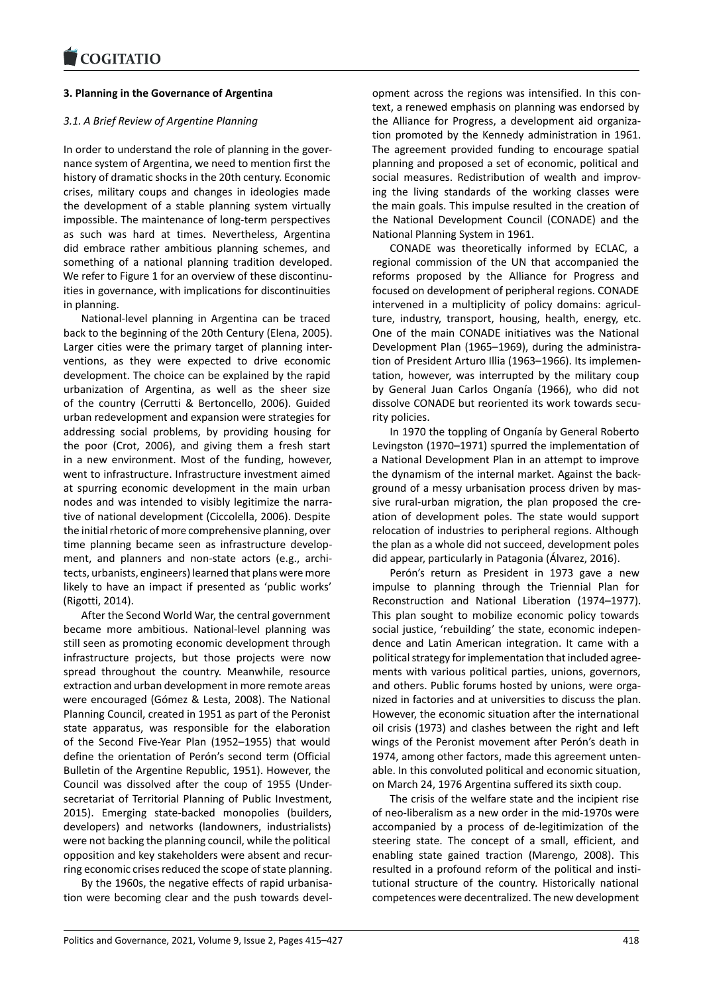### **3. Planning in the Governance of Argentina**

# *[3.1. A Brief Review of](https://www.cogitatiopress.com) Argentine Planning*

In order to understand the role of planning in the gover‐ nance system of Argentina, we need to mention first the history of dramatic shocks in the 20th century. Economic crises, military coups and changes in ideologies made the development of a stable planning system virtually impossible. The maintenance of long‐term perspectives as such was hard at times. Nevertheless, Argentina did embrace rather ambitious planning schemes, and something of a national planning tradition developed. We refer to Figure 1 for an overview of these discontinuities in governance, with implications for discontinuities in planning.

National‐level planning in Argentina can be traced back to the beginning of the 20th Century (Elena, 2005). Larger cities were the primary target of planning inter‐ ventions, as they were expected to drive economic development. The choice can be explained by the rapid urbanization of Argentina, as well as the sheer size of the country (Cerrutti & Bertoncello, 2006). Guided urban redevelopment and expansion were strategies for addressing social problems, by providing housing for the poor (Crot, 2006), and giving them a fresh start in a new environment. Most of the funding, however, went to infrastructure. Infrastructure investment aimed at spurring economic development in the main urban nodes and was intended to visibly legitimize the narra‐ tive of national development (Ciccolella, 2006). Despite the initial rhetoric of more comprehensive planning, over time planning became seen as infrastructure develop‐ ment, and planners and non‐state actors (e.g., archi‐ tects, urbanists, engineers) learned that plans were more likely to have an impact if presented as 'public works' (Rigotti, 2014).

After the Second World War, the central government became more ambitious. National‐level planning was still seen as promoting economic development through infrastructure projects, but those projects were now spread throughout the country. Meanwhile, resource extraction and urban development in more remote areas were encouraged (Gómez & Lesta, 2008). The National Planning Council, created in 1951 as part of the Peronist state apparatus, was responsible for the elaboration of the Second Five‐Year Plan (1952–1955) that would define the orientation of Perón's second term (Official Bulletin of the Argentine Republic, 1951). However, the Council was dissolved after the coup of 1955 (Under‐ secretariat of Territorial Planning of Public Investment, 2015). Emerging state‐backed monopolies (builders, developers) and networks (landowners, industrialists) were not backing the planning council, while the political opposition and key stakeholders were absent and recur‐ ring economic crises reduced the scope of state planning.

By the 1960s, the negative effects of rapid urbanisa‐ tion were becoming clear and the push towards devel‐ opment across the regions was intensified. In this con‐ text, a renewed emphasis on planning was endorsed by the Alliance for Progress, a development aid organiza‐ tion promoted by the Kennedy administration in 1961. The agreement provided funding to encourage spatial planning and proposed a set of economic, political and social measures. Redistribution of wealth and improving the living standards of the working classes were the main goals. This impulse resulted in the creation of the National Development Council (CONADE) and the National Planning System in 1961.

CONADE was theoretically informed by ECLAC, a regional commission of the UN that accompanied the reforms proposed by the Alliance for Progress and focused on development of peripheral regions. CONADE intervened in a multiplicity of policy domains: agriculture, industry, transport, housing, health, energy, etc. One of the main CONADE initiatives was the National Development Plan (1965–1969), during the administra‐ tion of President Arturo Illia (1963–1966). Its implemen‐ tation, however, was interrupted by the military coup by General Juan Carlos Onganía (1966), who did not dissolve CONADE but reoriented its work towards secu‐ rity policies.

In 1970 the toppling of Onganía by General Roberto Levingston (1970–1971) spurred the implementation of a National Development Plan in an attempt to improve the dynamism of the internal market. Against the back‐ ground of a messy urbanisation process driven by mas‐ sive rural-urban migration, the plan proposed the creation of development poles. The state would support relocation of industries to peripheral regions. Although the plan as a whole did not succeed, development poles did appear, particularly in Patagonia (Álvarez, 2016).

Perón's return as President in 1973 gave a new impulse to planning through the Triennial Plan for Reconstruction and National Liberation (1974–1977). This plan sought to mobilize economic policy towards social justice, 'rebuilding' the state, economic indepen‐ dence and Latin American integration. It came with a political strategy for implementation that included agree‐ ments with various political parties, unions, governors, and others. Public forums hosted by unions, were organized in factories and at universities to discuss the plan. However, the economic situation after the international oil crisis (1973) and clashes between the right and left wings of the Peronist movement after Perón's death in 1974, among other factors, made this agreement unten‐ able. In this convoluted political and economic situation, on March 24, 1976 Argentina suffered its sixth coup.

The crisis of the welfare state and the incipient rise of neo‐liberalism as a new order in the mid‐1970s were accompanied by a process of de‐legitimization of the steering state. The concept of a small, efficient, and enabling state gained traction (Marengo, 2008). This resulted in a profound reform of the political and insti‐ tutional structure of the country. Historically national competences were decentralized. The new development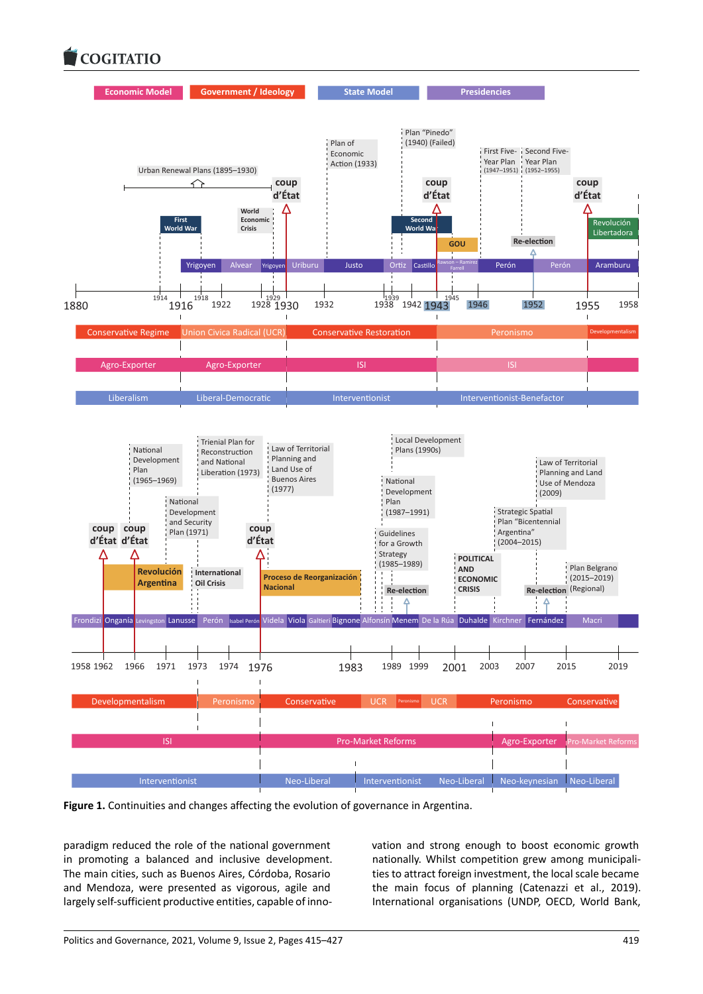

**Figure 1.** Continuities and changes affecting the evolution of governance in Argentina.

paradigm reduced the role of the national government in promoting a balanced and inclusive development. The main cities, such as Buenos Aires, Córdoba, Rosario and Mendoza, were presented as vigorous, agile and largely self-sufficient productive entities, capable of innovation and strong enough to boost economic growth nationally. Whilst competition grew among municipali‐ ties to attract foreign investment, the local scale became the main focus of planning (Catenazzi et al., 2019). International organisations (UNDP, OECD, World Bank,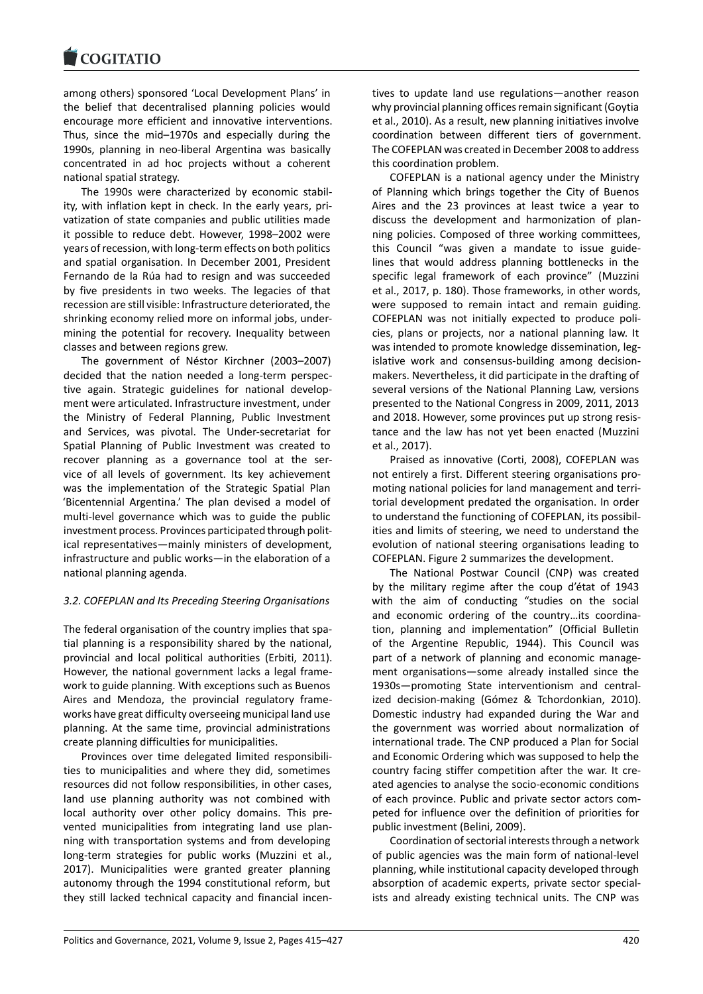#### COQUIATIO

among others) sponsored 'Local Development Plans' in [the belief that dece](https://www.cogitatiopress.com)ntralised planning policies would encourage more efficient and innovative interventions. Thus, since the mid–1970s and especially during the 1990s, planning in neo-liberal Argentina was basically concentrated in ad hoc projects without a coherent national spatial strategy.

The 1990s were characterized by economic stabil‐ ity, with inflation kept in check. In the early years, pri‐ vatization of state companies and public utilities made it possible to reduce debt. However, 1998–2002 were years of recession, with long‐term effects on both politics and spatial organisation. In December 2001, President Fernando de la Rúa had to resign and was succeeded by five presidents in two weeks. The legacies of that recession are still visible: Infrastructure deteriorated, the shrinking economy relied more on informal jobs, under‐ mining the potential for recovery. Inequality between classes and between regions grew.

The government of Néstor Kirchner (2003–2007) decided that the nation needed a long‐term perspec‐ tive again. Strategic guidelines for national develop‐ ment were articulated. Infrastructure investment, under the Ministry of Federal Planning, Public Investment and Services, was pivotal. The Under‐secretariat for Spatial Planning of Public Investment was created to recover planning as a governance tool at the service of all levels of government. Its key achievement was the implementation of the Strategic Spatial Plan 'Bicentennial Argentina.' The plan devised a model of multi‐level governance which was to guide the public investment process. Provinces participated through polit‐ ical representatives—mainly ministers of development, infrastructure and public works—in the elaboration of a national planning agenda.

# *3.2. COFEPLAN and Its Preceding Steering Organisations*

The federal organisation of the country implies that spatial planning is a responsibility shared by the national, provincial and local political authorities (Erbiti, 2011). However, the national government lacks a legal frame‐ work to guide planning. With exceptions such as Buenos Aires and Mendoza, the provincial regulatory frame‐ works have great difficulty overseeing municipal land use planning. At the same time, provincial administrations create planning difficulties for municipalities.

Provinces over time delegated limited responsibili‐ ties to municipalities and where they did, sometimes resources did not follow responsibilities, in other cases, land use planning authority was not combined with local authority over other policy domains. This pre‐ vented municipalities from integrating land use plan‐ ning with transportation systems and from developing long-term strategies for public works (Muzzini et al., 2017). Municipalities were granted greater planning autonomy through the 1994 constitutional reform, but they still lacked technical capacity and financial incen‐ tives to update land use regulations—another reason why provincial planning offices remain significant (Goytia et al., 2010). As a result, new planning initiatives involve coordination between different tiers of government. The COFEPLAN was created in December 2008 to address this coordination problem.

COFEPLAN is a national agency under the Ministry of Planning which brings together the City of Buenos Aires and the 23 provinces at least twice a year to discuss the development and harmonization of plan‐ ning policies. Composed of three working committees, this Council "was given a mandate to issue guide‐ lines that would address planning bottlenecks in the specific legal framework of each province" (Muzzini et al., 2017, p. 180). Those frameworks, in other words, were supposed to remain intact and remain guiding. COFEPLAN was not initially expected to produce poli‐ cies, plans or projects, nor a national planning law. It was intended to promote knowledge dissemination, legislative work and consensus‐building among decision‐ makers. Nevertheless, it did participate in the drafting of several versions of the National Planning Law, versions presented to the National Congress in 2009, 2011, 2013 and 2018. However, some provinces put up strong resis‐ tance and the law has not yet been enacted (Muzzini et al., 2017).

Praised as innovative (Corti, 2008), COFEPLAN was not entirely a first. Different steering organisations pro‐ moting national policies for land management and terri‐ torial development predated the organisation. In order to understand the functioning of COFEPLAN, its possibil‐ ities and limits of steering, we need to understand the evolution of national steering organisations leading to COFEPLAN. Figure 2 summarizes the development.

The National Postwar Council (CNP) was created by the military regime after the coup d'état of 1943 with the aim of conducting "studies on the social and economic ordering of the country…its coordina‐ tion, planning and implementation" (Official Bulletin of the Argentine Republic, 1944). This Council was part of a network of planning and economic management organisations—some already installed since the 1930s—promoting State interventionism and central‐ ized decision‐making (Gómez & Tchordonkian, 2010). Domestic industry had expanded during the War and the government was worried about normalization of international trade. The CNP produced a Plan for Social and Economic Ordering which was supposed to help the country facing stiffer competition after the war. It cre‐ ated agencies to analyse the socio‐economic conditions of each province. Public and private sector actors com‐ peted for influence over the definition of priorities for public investment (Belini, 2009).

Coordination of sectorial interests through a network of public agencies was the main form of national‐level planning, while institutional capacity developed through absorption of academic experts, private sector special‐ ists and already existing technical units. The CNP was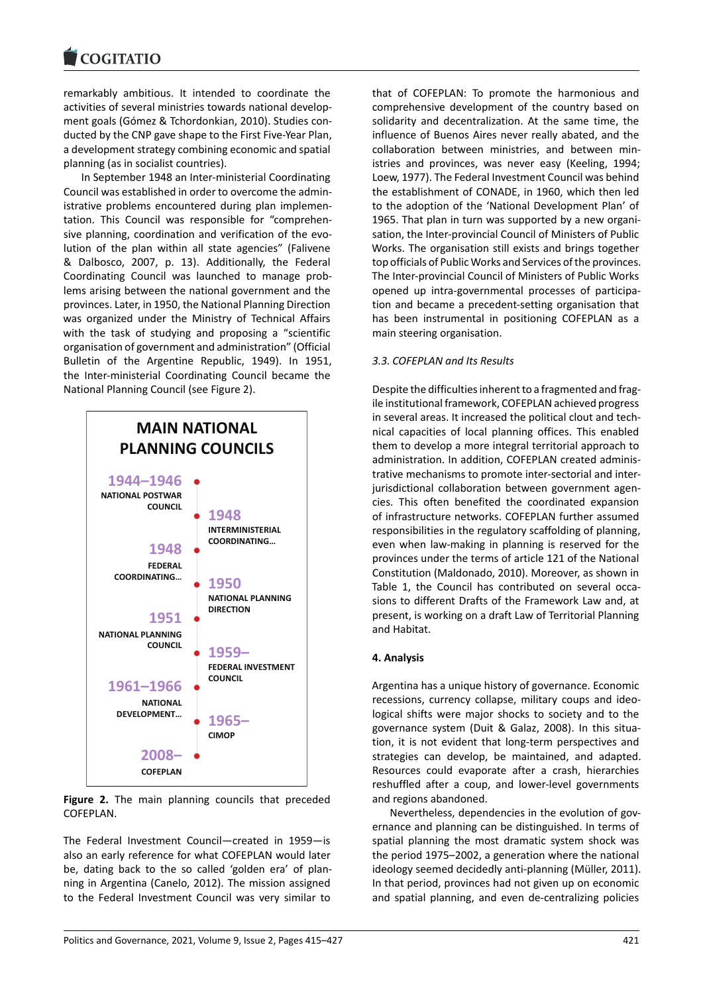remarkably ambitious. It intended to coordinate the [activities of several m](https://www.cogitatiopress.com)inistries towards national develop‐ ment goals (Gómez & Tchordonkian, 2010). Studies con‐ ducted by the CNP gave shape to the First Five‐Year Plan, a development strategy combining economic and spatial planning (as in socialist countries).

In September 1948 an Inter‐ministerial Coordinating Council was established in order to overcome the admin‐ istrative problems encountered during plan implemen‐ tation. This Council was responsible for "comprehen‐ sive planning, coordination and verification of the evolution of the plan within all state agencies" (Falivene & Dalbosco, 2007, p. 13). Additionally, the Federal Coordinating Council was launched to manage prob‐ lems arising between the national government and the provinces. Later, in 1950, the National Planning Direction was organized under the Ministry of Technical Affairs with the task of studying and proposing a "scientific organisation of government and administration" (Official Bulletin of the Argentine Republic, 1949). In 1951, the Inter‐ministerial Coordinating Council became the National Planning Council (see Figure 2).



**Figure 2.** The main planning councils that preceded COFEPLAN.

The Federal Investment Council—created in 1959—is also an early reference for what COFEPLAN would later be, dating back to the so called 'golden era' of planning in Argentina (Canelo, 2012). The mission assigned to the Federal Investment Council was very similar to

that of COFEPLAN: To promote the harmonious and comprehensive development of the country based on solidarity and decentralization. At the same time, the influence of Buenos Aires never really abated, and the collaboration between ministries, and between min‐ istries and provinces, was never easy (Keeling, 1994; Loew, 1977). The Federal Investment Council was behind the establishment of CONADE, in 1960, which then led to the adoption of the 'National Development Plan' of 1965. That plan in turn was supported by a new organi‐ sation, the Inter-provincial Council of Ministers of Public Works. The organisation still exists and brings together top officials of Public Works and Services of the provinces. The Inter‐provincial Council of Ministers of Public Works opened up intra‐governmental processes of participa‐ tion and became a precedent‐setting organisation that has been instrumental in positioning COFEPLAN as a main steering organisation.

# *3.3. COFEPLAN and Its Results*

Despite the difficulties inherent to a fragmented and frag‐ ile institutional framework, COFEPLAN achieved progress in several areas. It increased the political clout and tech‐ nical capacities of local planning offices. This enabled them to develop a more integral territorial approach to administration. In addition, COFEPLAN created adminis‐ trative mechanisms to promote inter‐sectorial and inter‐ jurisdictional collaboration between government agencies. This often benefited the coordinated expansion of infrastructure networks. COFEPLAN further assumed responsibilities in the regulatory scaffolding of planning, even when law‐making in planning is reserved for the provinces under the terms of article 121 of the National Constitution (Maldonado, 2010). Moreover, as shown in Table 1, the Council has contributed on several occasions to different Drafts of the Framework Law and, at present, is working on a draft Law of Territorial Planning and Habitat.

# **4. Analysis**

Argentina has a unique history of governance. Economic recessions, currency collapse, military coups and ideo‐ logical shifts were major shocks to society and to the governance system (Duit & Galaz, 2008). In this situa‐ tion, it is not evident that long‐term perspectives and strategies can develop, be maintained, and adapted. Resources could evaporate after a crash, hierarchies reshuffled after a coup, and lower‐level governments and regions abandoned.

Nevertheless, dependencies in the evolution of gov‐ ernance and planning can be distinguished. In terms of spatial planning the most dramatic system shock was the period 1975–2002, a generation where the national ideology seemed decidedly anti‐planning (Müller, 2011). In that period, provinces had not given up on economic and spatial planning, and even de‐centralizing policies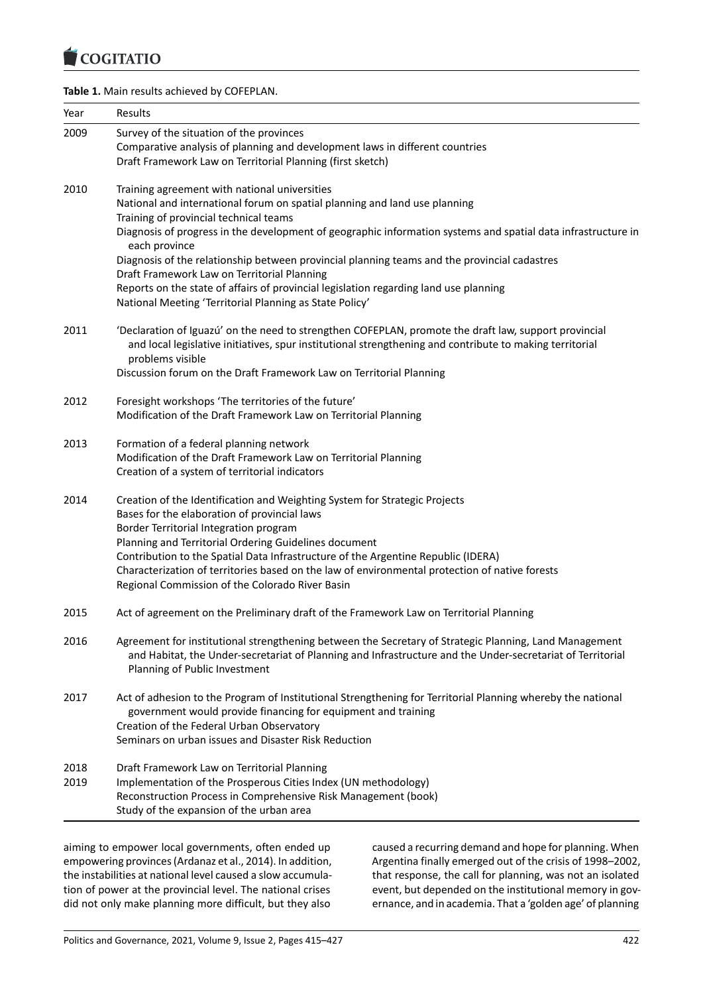#### COQUIATIO

# **Table 1.** Main results achieved by COFEPLAN.

| Year         | Results                                                                                                                                                                                                                                                                                                                                                                                                                                                                 |
|--------------|-------------------------------------------------------------------------------------------------------------------------------------------------------------------------------------------------------------------------------------------------------------------------------------------------------------------------------------------------------------------------------------------------------------------------------------------------------------------------|
| 2009         | Survey of the situation of the provinces<br>Comparative analysis of planning and development laws in different countries<br>Draft Framework Law on Territorial Planning (first sketch)                                                                                                                                                                                                                                                                                  |
| 2010         | Training agreement with national universities<br>National and international forum on spatial planning and land use planning<br>Training of provincial technical teams<br>Diagnosis of progress in the development of geographic information systems and spatial data infrastructure in<br>each province                                                                                                                                                                 |
|              | Diagnosis of the relationship between provincial planning teams and the provincial cadastres<br>Draft Framework Law on Territorial Planning<br>Reports on the state of affairs of provincial legislation regarding land use planning<br>National Meeting 'Territorial Planning as State Policy'                                                                                                                                                                         |
| 2011         | 'Declaration of Iguazú' on the need to strengthen COFEPLAN, promote the draft law, support provincial<br>and local legislative initiatives, spur institutional strengthening and contribute to making territorial<br>problems visible<br>Discussion forum on the Draft Framework Law on Territorial Planning                                                                                                                                                            |
| 2012         | Foresight workshops 'The territories of the future'<br>Modification of the Draft Framework Law on Territorial Planning                                                                                                                                                                                                                                                                                                                                                  |
| 2013         | Formation of a federal planning network<br>Modification of the Draft Framework Law on Territorial Planning<br>Creation of a system of territorial indicators                                                                                                                                                                                                                                                                                                            |
| 2014         | Creation of the Identification and Weighting System for Strategic Projects<br>Bases for the elaboration of provincial laws<br>Border Territorial Integration program<br>Planning and Territorial Ordering Guidelines document<br>Contribution to the Spatial Data Infrastructure of the Argentine Republic (IDERA)<br>Characterization of territories based on the law of environmental protection of native forests<br>Regional Commission of the Colorado River Basin |
| 2015         | Act of agreement on the Preliminary draft of the Framework Law on Territorial Planning                                                                                                                                                                                                                                                                                                                                                                                  |
| 2016         | Agreement for institutional strengthening between the Secretary of Strategic Planning, Land Management<br>and Habitat, the Under-secretariat of Planning and Infrastructure and the Under-secretariat of Territorial<br>Planning of Public Investment                                                                                                                                                                                                                   |
| 2017         | Act of adhesion to the Program of Institutional Strengthening for Territorial Planning whereby the national<br>government would provide financing for equipment and training<br>Creation of the Federal Urban Observatory<br>Seminars on urban issues and Disaster Risk Reduction                                                                                                                                                                                       |
| 2018<br>2019 | Draft Framework Law on Territorial Planning<br>Implementation of the Prosperous Cities Index (UN methodology)<br>Reconstruction Process in Comprehensive Risk Management (book)<br>Study of the expansion of the urban area                                                                                                                                                                                                                                             |

aiming to empower local governments, often ended up empowering provinces (Ardanaz et al., 2014). In addition, the instabilities at national level caused a slow accumula‐ tion of power at the provincial level. The national crises did not only make planning more difficult, but they also caused a recurring demand and hope for planning. When Argentina finally emerged out of the crisis of 1998–2002, that response, the call for planning, was not an isolated event, but depended on the institutional memory in governance, and in academia. That a 'golden age' of planning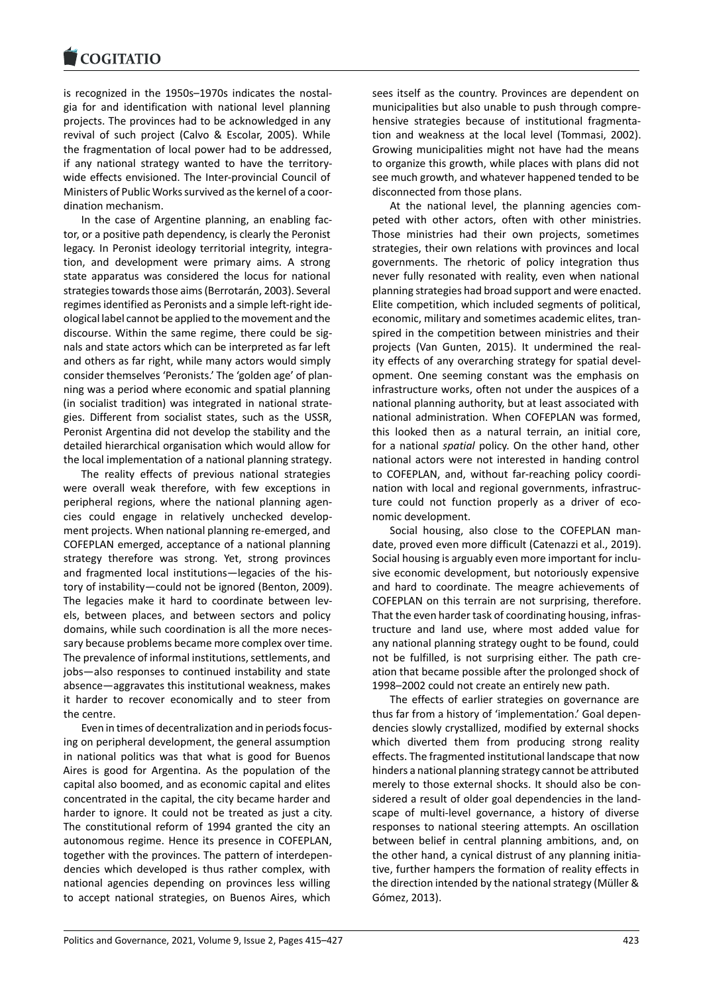is recognized in the 1950s–1970s indicates the nostal‐ [gia for and identific](https://www.cogitatiopress.com)ation with national level planning projects. The provinces had to be acknowledged in any revival of such project (Calvo & Escolar, 2005). While the fragmentation of local power had to be addressed, if any national strategy wanted to have the territory‐ wide effects envisioned. The Inter-provincial Council of Ministers of Public Works survived as the kernel of a coor‐ dination mechanism.

In the case of Argentine planning, an enabling fac‐ tor, or a positive path dependency, is clearly the Peronist legacy. In Peronist ideology territorial integrity, integra‐ tion, and development were primary aims. A strong state apparatus was considered the locus for national strategies towards those aims (Berrotarán, 2003). Several regimes identified as Peronists and a simple left‐right ide‐ ological label cannot be applied to the movement and the discourse. Within the same regime, there could be sig‐ nals and state actors which can be interpreted as far left and others as far right, while many actors would simply consider themselves 'Peronists.' The 'golden age' of plan‐ ning was a period where economic and spatial planning (in socialist tradition) was integrated in national strate‐ gies. Different from socialist states, such as the USSR, Peronist Argentina did not develop the stability and the detailed hierarchical organisation which would allow for the local implementation of a national planning strategy.

The reality effects of previous national strategies were overall weak therefore, with few exceptions in peripheral regions, where the national planning agen‐ cies could engage in relatively unchecked develop‐ ment projects. When national planning re‐emerged, and COFEPLAN emerged, acceptance of a national planning strategy therefore was strong. Yet, strong provinces and fragmented local institutions—legacies of the his‐ tory of instability—could not be ignored (Benton, 2009). The legacies make it hard to coordinate between levels, between places, and between sectors and policy domains, while such coordination is all the more neces‐ sary because problems became more complex over time. The prevalence of informal institutions, settlements, and jobs—also responses to continued instability and state absence—aggravates this institutional weakness, makes it harder to recover economically and to steer from the centre.

Even in times of decentralization and in periods focus‐ ing on peripheral development, the general assumption in national politics was that what is good for Buenos Aires is good for Argentina. As the population of the capital also boomed, and as economic capital and elites concentrated in the capital, the city became harder and harder to ignore. It could not be treated as just a city. The constitutional reform of 1994 granted the city an autonomous regime. Hence its presence in COFEPLAN, together with the provinces. The pattern of interdepen‐ dencies which developed is thus rather complex, with national agencies depending on provinces less willing to accept national strategies, on Buenos Aires, which

sees itself as the country. Provinces are dependent on municipalities but also unable to push through compre‐ hensive strategies because of institutional fragmenta‐ tion and weakness at the local level (Tommasi, 2002). Growing municipalities might not have had the means to organize this growth, while places with plans did not see much growth, and whatever happened tended to be disconnected from those plans.

At the national level, the planning agencies com‐ peted with other actors, often with other ministries. Those ministries had their own projects, sometimes strategies, their own relations with provinces and local governments. The rhetoric of policy integration thus never fully resonated with reality, even when national planning strategies had broad support and were enacted. Elite competition, which included segments of political, economic, military and sometimes academic elites, tran‐ spired in the competition between ministries and their projects (Van Gunten, 2015). It undermined the real‐ ity effects of any overarching strategy for spatial devel‐ opment. One seeming constant was the emphasis on infrastructure works, often not under the auspices of a national planning authority, but at least associated with national administration. When COFEPLAN was formed, this looked then as a natural terrain, an initial core, for a national *spatial* policy. On the other hand, other national actors were not interested in handing control to COFEPLAN, and, without far-reaching policy coordination with local and regional governments, infrastruc‐ ture could not function properly as a driver of economic development.

Social housing, also close to the COFEPLAN man‐ date, proved even more difficult (Catenazzi et al., 2019). Social housing is arguably even more important for inclu‐ sive economic development, but notoriously expensive and hard to coordinate. The meagre achievements of COFEPLAN on this terrain are not surprising, therefore. That the even harder task of coordinating housing, infras‐ tructure and land use, where most added value for any national planning strategy ought to be found, could not be fulfilled, is not surprising either. The path creation that became possible after the prolonged shock of 1998–2002 could not create an entirely new path.

The effects of earlier strategies on governance are thus far from a history of 'implementation.' Goal depen‐ dencies slowly crystallized, modified by external shocks which diverted them from producing strong reality effects. The fragmented institutional landscape that now hinders a national planning strategy cannot be attributed merely to those external shocks. It should also be con‐ sidered a result of older goal dependencies in the land‐ scape of multi-level governance, a history of diverse responses to national steering attempts. An oscillation between belief in central planning ambitions, and, on the other hand, a cynical distrust of any planning initia‐ tive, further hampers the formation of reality effects in the direction intended by the national strategy (Müller & Gómez, 2013).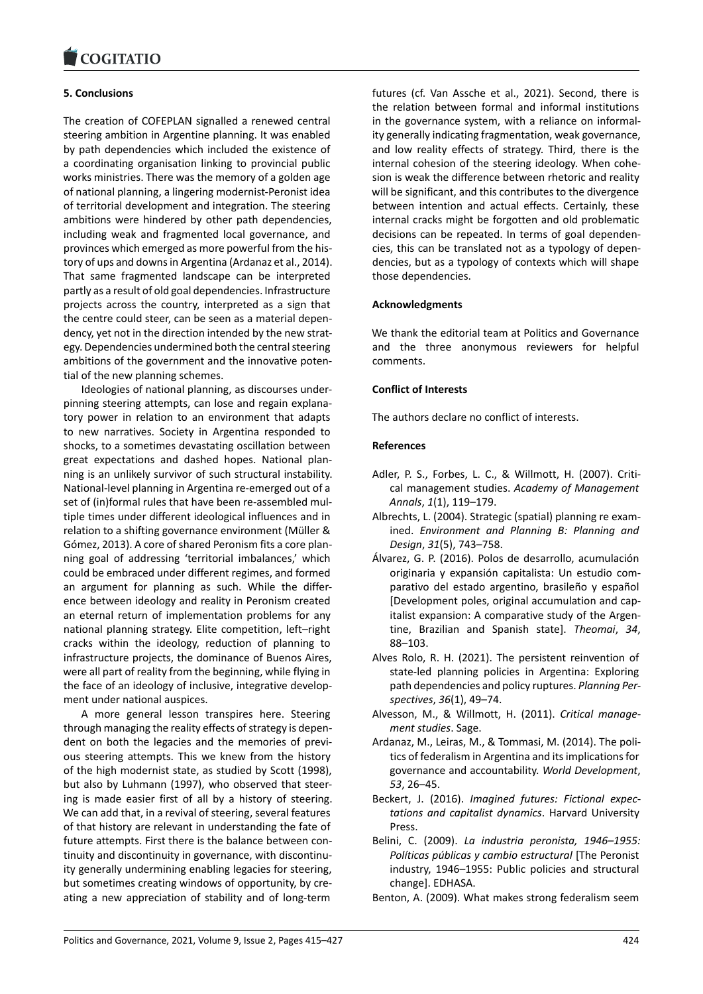#### COQUATIO

# **5. Conclusions**

[The creation of COF](https://www.cogitatiopress.com)EPLAN signalled a renewed central steering ambition in Argentine planning. It was enabled by path dependencies which included the existence of a coordinating organisation linking to provincial public works ministries. There was the memory of a golden age of national planning, a lingering modernist‐Peronist idea of territorial development and integration. The steering ambitions were hindered by other path dependencies, including weak and fragmented local governance, and provinces which emerged as more powerful from the his‐ tory of ups and downs in Argentina (Ardanaz et al., 2014). That same fragmented landscape can be interpreted partly as a result of old goal dependencies. Infrastructure projects across the country, interpreted as a sign that the centre could steer, can be seen as a material depen‐ dency, yet not in the direction intended by the new strat‐ egy. Dependencies undermined both the central steering ambitions of the government and the innovative poten‐ tial of the new planning schemes.

Ideologies of national planning, as discourses under‐ pinning steering attempts, can lose and regain explana‐ tory power in relation to an environment that adapts to new narratives. Society in Argentina responded to shocks, to a sometimes devastating oscillation between great expectations and dashed hopes. National plan‐ ning is an unlikely survivor of such structural instability. National‐level planning in Argentina re‐emerged out of a set of (in)formal rules that have been re‐assembled mul‐ tiple times under different ideological influences and in relation to a shifting governance environment (Müller & Gómez, 2013). A core of shared Peronism fits a core plan‐ ning goal of addressing 'territorial imbalances,' which could be embraced under different regimes, and formed an argument for planning as such. While the differ‐ ence between ideology and reality in Peronism created an eternal return of implementation problems for any national planning strategy. Elite competition, left–right cracks within the ideology, reduction of planning to infrastructure projects, the dominance of Buenos Aires, were all part of reality from the beginning, while flying in the face of an ideology of inclusive, integrative develop‐ ment under national auspices.

A more general lesson transpires here. Steering through managing the reality effects of strategy is depen‐ dent on both the legacies and the memories of previous steering attempts. This we knew from the history of the high modernist state, as studied by Scott (1998), but also by Luhmann (1997), who observed that steer‐ ing is made easier first of all by a history of steering. We can add that, in a revival of steering, several features of that history are relevant in understanding the fate of future attempts. First there is the balance between con‐ tinuity and discontinuity in governance, with discontinu‐ ity generally undermining enabling legacies for steering, but sometimes creating windows of opportunity, by cre‐ ating a new appreciation of stability and of long‐term futures (cf. Van Assche et al., 2021). Second, there is the relation between formal and informal institutions in the governance system, with a reliance on informal‐ ity generally indicating fragmentation, weak governance, and low reality effects of strategy. Third, there is the internal cohesion of the steering ideology. When cohe‐ sion is weak the difference between rhetoric and reality will be significant, and this contributes to the divergence between intention and actual effects. Certainly, these internal cracks might be forgotten and old problematic decisions can be repeated. In terms of goal dependen‐ cies, this can be translated not as a typology of depen‐ dencies, but as a typology of contexts which will shape those dependencies.

### **Acknowledgments**

We thank the editorial team at Politics and Governance and the three anonymous reviewers for helpful comments.

### **Conflict of Interests**

The authors declare no conflict of interests.

### **References**

- Adler, P. S., Forbes, L. C., & Willmott, H. (2007). Criti‐ cal management studies. *Academy of Management Annals*, *1*(1), 119–179.
- Albrechts, L. (2004). Strategic (spatial) planning re exam‐ ined. *Environment and Planning B: Planning and Design*, *31*(5), 743–758.
- Álvarez, G. P. (2016). Polos de desarrollo, acumulación originaria y expansión capitalista: Un estudio com‐ parativo del estado argentino, brasileño y español [Development poles, original accumulation and cap‐ italist expansion: A comparative study of the Argen‐ tine, Brazilian and Spanish state]. *Theomai*, *34*, 88–103.
- Alves Rolo, R. H. (2021). The persistent reinvention of state‐led planning policies in Argentina: Exploring path dependencies and policy ruptures. *Planning Per‐ spectives*, *36*(1), 49–74.
- Alvesson, M., & Willmott, H. (2011). *Critical manage‐ ment studies*. Sage.
- Ardanaz, M., Leiras, M., & Tommasi, M. (2014). The poli‐ tics of federalism in Argentina and its implications for governance and accountability. *World Development*, *53*, 26–45.
- Beckert, J. (2016). *Imagined futures: Fictional expec‐ tations and capitalist dynamics*. Harvard University Press.
- Belini, C. (2009). *La industria peronista, 1946–1955: Políticas públicas y cambio estructural* [The Peronist industry, 1946–1955: Public policies and structural change]. EDHASA.
- Benton, A. (2009). What makes strong federalism seem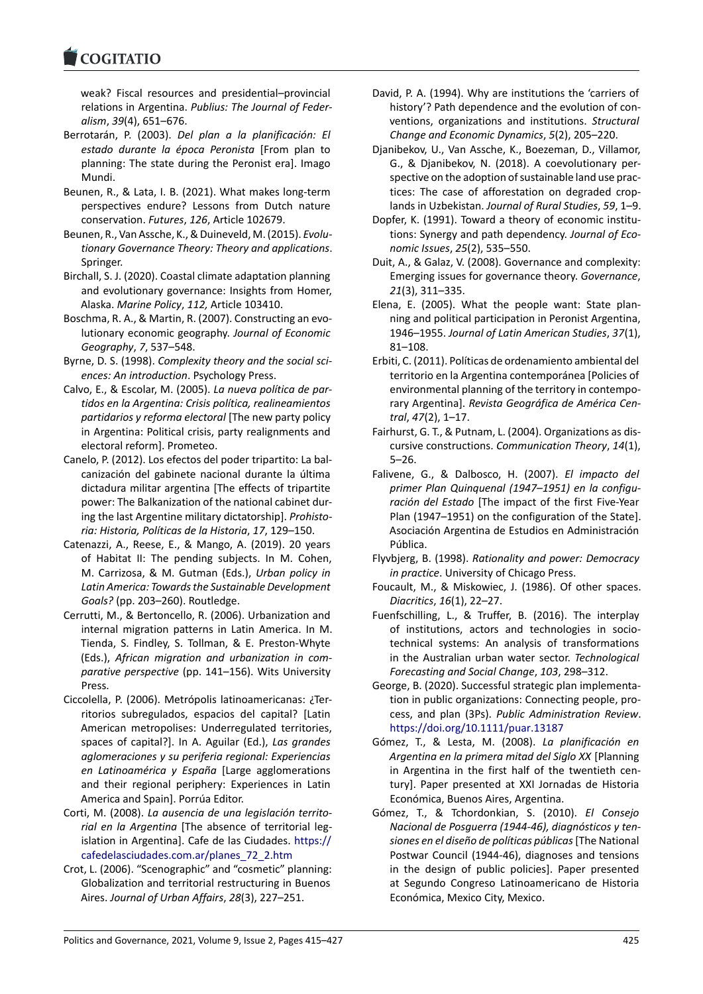#### COGHALIO

weak? Fiscal resources and presidential–provincial [relations in Argen](https://www.cogitatiopress.com)tina. *Publius: The Journal of Feder‐ alism*, *39*(4), 651–676.

- Berrotarán, P. (2003). *Del plan a la planificación: El estado durante la época Peronista* [From plan to planning: The state during the Peronist era]. Imago Mundi.
- Beunen, R., & Lata, I. B. (2021). What makes long‐term perspectives endure? Lessons from Dutch nature conservation. *Futures*, *126*, Article 102679.
- Beunen, R., Van Assche, K., & Duineveld, M. (2015). *Evolu‐ tionary Governance Theory: Theory and applications*. Springer.
- Birchall, S. J. (2020). Coastal climate adaptation planning and evolutionary governance: Insights from Homer, Alaska. *Marine Policy*, *112,* Article 103410.
- Boschma, R. A., & Martin, R. (2007). Constructing an evo‐ lutionary economic geography. *Journal of Economic Geography*, *7*, 537–548.
- Byrne, D. S. (1998). *Complexity theory and the social sci‐ ences: An introduction*. Psychology Press.
- Calvo, E., & Escolar, M. (2005). *La nueva política de par‐ tidos en la Argentina: Crisis política, realineamientos partidarios y reforma electoral* [The new party policy in Argentina: Political crisis, party realignments and electoral reform]. Prometeo.
- Canelo, P. (2012). Los efectos del poder tripartito: La bal‐ canización del gabinete nacional durante la última dictadura militar argentina [The effects of tripartite power: The Balkanization of the national cabinet dur‐ ing the last Argentine military dictatorship]. *Prohisto‐ ria: Historia, Políticas de la Historia*, *17*, 129–150.
- Catenazzi, A., Reese, E., & Mango, A. (2019). 20 years of Habitat II: The pending subjects. In M. Cohen, M. Carrizosa, & M. Gutman (Eds.), *Urban policy in Latin America: Towards the Sustainable Development Goals?* (pp. 203–260). Routledge.
- Cerrutti, M., & Bertoncello, R. (2006). Urbanization and internal migration patterns in Latin America. In M. Tienda, S. Findley, S. Tollman, & E. Preston‐Whyte (Eds.), *African migration and urbanization in com‐ parative perspective* (pp. 141–156). Wits University Press.
- Ciccolella, P. (2006). Metrópolis latinoamericanas: ¿Ter‐ ritorios subregulados, espacios del capital? [Latin American metropolises: Underregulated territories, spaces of capital?]. In A. Aguilar (Ed.), *Las grandes aglomeraciones y su periferia regional: Experiencias en Latinoamérica y España* [Large agglomerations and their regional periphery: Experiences in Latin America and Spain]. Porrúa Editor.
- Corti, M. (2008). *La ausencia de una legislación territo‐ rial en la Argentina* [The absence of territorial leg‐ islation in Argentina]. Cafe de las Ciudades. https:// cafedelasciudades.com.ar/planes\_72\_2.htm
- Crot, L. (2006). "Scenographic" and "cosmetic" planning: Globalization and territorial restructuring in Buenos Aires. *Journal of Urban Affairs*, *28*(3), 227–2[51.](https://cafedelasciudades.com.ar/planes_72_2.htm)
- David, P. A. (1994). Why are institutions the 'carriers of history'? Path dependence and the evolution of conventions, organizations and institutions. *Structural Change and Economic Dynamics*, *5*(2), 205–220.
- Djanibekov, U., Van Assche, K., Boezeman, D., Villamor, G., & Djanibekov, N. (2018). A coevolutionary per‐ spective on the adoption of sustainable land use prac‐ tices: The case of afforestation on degraded crop‐ lands in Uzbekistan. *Journal of Rural Studies*, *59*, 1–9.
- Dopfer, K. (1991). Toward a theory of economic institu‐ tions: Synergy and path dependency. *Journal of Eco‐ nomic Issues*, *25*(2), 535–550.
- Duit, A., & Galaz, V. (2008). Governance and complexity: Emerging issues for governance theory. *Governance*, *21*(3), 311–335.
- Elena, E. (2005). What the people want: State plan‐ ning and political participation in Peronist Argentina, 1946–1955. *Journal of Latin American Studies*, *37*(1), 81–108.
- Erbiti, C. (2011). Políticas de ordenamiento ambiental del territorio en la Argentina contemporánea [Policies of environmental planning of the territory in contempo‐ rary Argentina]. *Revista Geográfica de América Cen‐ tral*, *47*(2), 1–17.
- Fairhurst, G. T., & Putnam, L. (2004). Organizations as dis‐ cursive constructions. *Communication Theory*, *14*(1), 5–26.
- Falivene, G., & Dalbosco, H. (2007). *El impacto del primer Plan Quinquenal (1947–1951) en la configu‐ ración del Estado* [The impact of the first Five‐Year Plan (1947–1951) on the configuration of the State]. Asociación Argentina de Estudios en Administración Pública.
- Flyvbjerg, B. (1998). *Rationality and power: Democracy in practice*. University of Chicago Press.
- Foucault, M., & Miskowiec, J. (1986). Of other spaces. *Diacritics*, *16*(1), 22–27.
- Fuenfschilling, L., & Truffer, B. (2016). The interplay of institutions, actors and technologies in socio‐ technical systems: An analysis of transformations in the Australian urban water sector. *Technological Forecasting and Social Change*, *103*, 298–312.
- George, B. (2020). Successful strategic plan implementa‐ tion in public organizations: Connecting people, pro‐ cess, and plan (3Ps). *Public Administration Review*. https://doi.org/10.1111/puar.13187
- Gómez, T., & Lesta, M. (2008). *La planificación en Argentina en la primera mitad del Siglo XX* [Planning in Argentina in the first half of the twentieth cen‐ [tury\]. Paper presented at XXI Jorna](https://doi.org/10.1111/puar.13187)das de Historia Económica, Buenos Aires, Argentina.
- Gómez, T., & Tchordonkian, S. (2010). *El Consejo Nacional de Posguerra (1944‐46), diagnósticos y ten‐ siones en el diseño de políticas públicas*[The National Postwar Council (1944‐46), diagnoses and tensions in the design of public policies]. Paper presented at Segundo Congreso Latinoamericano de Historia Económica, Mexico City, Mexico.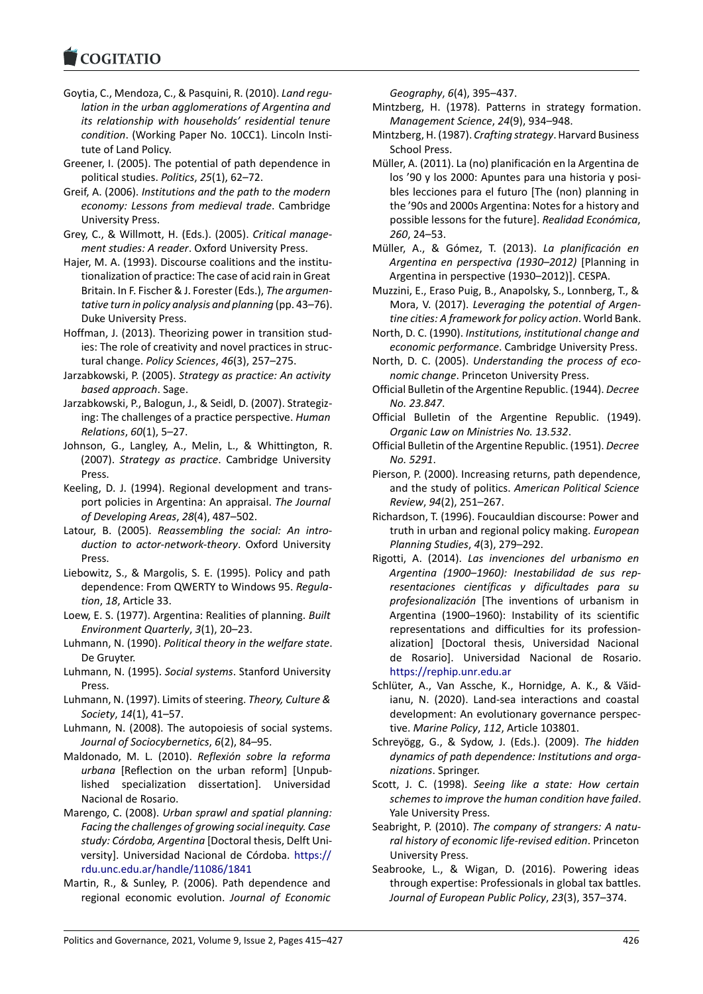- Goytia, C., Mendoza, C., & Pasquini, R. (2010). *Land regu‐ [lation in the urba](https://www.cogitatiopress.com)n agglomerations of Argentina and its relationship with households' residential tenure condition*. (Working Paper No. 10CC1). Lincoln Insti‐ tute of Land Policy.
- Greener, I. (2005). The potential of path dependence in political studies. *Politics*, *25*(1), 62–72.
- Greif, A. (2006). *Institutions and the path to the modern economy: Lessons from medieval trade*. Cambridge University Press.
- Grey, C., & Willmott, H. (Eds.). (2005). *Critical manage‐ ment studies: A reader*. Oxford University Press.
- Hajer, M. A. (1993). Discourse coalitions and the institutionalization of practice: The case of acid rain in Great Britain. In F. Fischer & J. Forester (Eds.), *The argumen‐ tative turn in policy analysis and planning* (pp. 43–76). Duke University Press.
- Hoffman, J. (2013). Theorizing power in transition stud‐ ies: The role of creativity and novel practices in struc‐ tural change. *Policy Sciences*, *46*(3), 257–275.
- Jarzabkowski, P. (2005). *Strategy as practice: An activity based approach*. Sage.
- Jarzabkowski, P., Balogun, J., & Seidl, D. (2007). Strategiz‐ ing: The challenges of a practice perspective. *Human Relations*, *60*(1), 5–27.
- Johnson, G., Langley, A., Melin, L., & Whittington, R. (2007). *Strategy as practice*. Cambridge University Press.
- Keeling, D. J. (1994). Regional development and trans‐ port policies in Argentina: An appraisal. *The Journal of Developing Areas*, *28*(4), 487–502.
- Latour, B. (2005). *Reassembling the social: An intro‐ duction to actor‐network‐theory*. Oxford University Press.
- Liebowitz, S., & Margolis, S. E. (1995). Policy and path dependence: From QWERTY to Windows 95. *Regula‐ tion*, *18*, Article 33.
- Loew, E. S. (1977). Argentina: Realities of planning. *Built Environment Quarterly*, *3*(1), 20–23.
- Luhmann, N. (1990). *Political theory in the welfare state*. De Gruyter.
- Luhmann, N. (1995). *Social systems*. Stanford University Press.
- Luhmann, N. (1997). Limits of steering. *Theory, Culture & Society*, *14*(1), 41–57.
- Luhmann, N. (2008). The autopoiesis of social systems. *Journal of Sociocybernetics*, *6*(2), 84–95.
- Maldonado, M. L. (2010). *Reflexión sobre la reforma urbana* [Reflection on the urban reform] [Unpub‐ lished specialization dissertation]. Universidad Nacional de Rosario.
- Marengo, C. (2008). *Urban sprawl and spatial planning: Facing the challenges of growing social inequity. Case study: Córdoba, Argentina* [Doctoral thesis, Delft Uni‐ versity]. Universidad Nacional de Córdoba. https:// rdu.unc.edu.ar/handle/11086/1841
- Martin, R., & Sunley, P. (2006). Path dependence and regional economic evolution. *Journal of Economic*

*Geography*, *6*(4), 395–437.

- Mintzberg, H. (1978). Patterns in strategy formation. *Management Science*, *24*(9), 934–948.
- Mintzberg, H. (1987). *Crafting strategy*. Harvard Business School Press.
- Müller, A. (2011). La (no) planificación en la Argentina de los '90 y los 2000: Apuntes para una historia y posi‐ bles lecciones para el futuro [The (non) planning in the '90s and 2000s Argentina: Notes for a history and possible lessons for the future]. *Realidad Económica*, *260*, 24–53.
- Müller, A., & Gómez, T. (2013). *La planificación en Argentina en perspectiva (1930–2012)* [Planning in Argentina in perspective (1930–2012)]. CESPA.
- Muzzini, E., Eraso Puig, B., Anapolsky, S., Lonnberg, T., & Mora, V. (2017). *Leveraging the potential of Argen‐ tine cities: A framework for policy action*. World Bank.
- North, D. C. (1990). *Institutions, institutional change and economic performance*. Cambridge University Press.
- North, D. C. (2005). *Understanding the process of eco‐ nomic change*. Princeton University Press.
- Official Bulletin of the Argentine Republic. (1944). *Decree No. 23.847*.
- Official Bulletin of the Argentine Republic. (1949). *Organic Law on Ministries No. 13.532*.
- Official Bulletin of the Argentine Republic. (1951). *Decree No. 5291*.
- Pierson, P. (2000). Increasing returns, path dependence, and the study of politics. *American Political Science Review*, *94*(2), 251–267.
- Richardson, T. (1996). Foucauldian discourse: Power and truth in urban and regional policy making. *European Planning Studies*, *4*(3), 279–292.
- Rigotti, A. (2014). *Las invenciones del urbanismo en Argentina (1900–1960): Inestabilidad de sus rep‐ resentaciones científicas y dificultades para su profesionalización* [The inventions of urbanism in Argentina (1900–1960): Instability of its scientific representations and difficulties for its profession‐ alization] [Doctoral thesis, Universidad Nacional de Rosario]. Universidad Nacional de Rosario. https://rephip.unr.edu.ar
- Schlüter, A., Van Assche, K., Hornidge, A. K., & Văid‐ ianu, N. (2020). Land‐sea interactions and coastal development: An evolutionary governance perspec‐ tive. *[Marine Policy](https://rephip.unr.edu.ar)*, *112*, Article 103801.
- Schreyögg, G., & Sydow, J. (Eds.). (2009). *The hidden dynamics of path dependence: Institutions and orga‐ nizations*. Springer.
- Scott, J. C. (1998). *Seeing like a state: How certain schemes to improve the human condition have failed*. Yale University Press.
- Seabright, P. (2010). *The company of strangers: A natu‐ ral history of economic life‐revised edition*. Princeton University Press.
- Seabrooke, L., & Wigan, D. (2016). Powering ideas through expertise: Professionals in global tax battles. *Journal of European Public Policy*, *23*(3), 357–374.